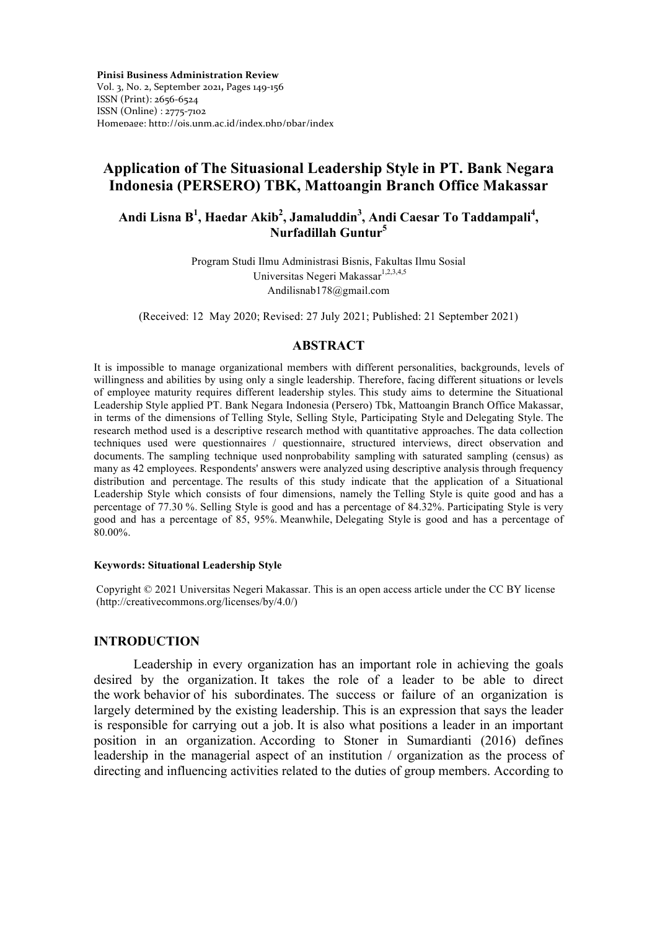**Pinisi Business Administration Review**  Vol. 3, No. 2, September 2021**,** Pages 149-156 ISSN (Print): 2656-6524 ISSN (Online) : 2775-7102 Homepage: http://ojs.unm.ac.id/index.php/pbar/index

# **Application of The Situasional Leadership Style in PT. Bank Negara Indonesia (PERSERO) TBK, Mattoangin Branch Office Makassar**

## **Andi Lisna B1 , Haedar Akib<sup>2</sup> , Jamaluddin<sup>3</sup> , Andi Caesar To Taddampali4 , Nurfadillah Guntur5**

Program Studi Ilmu Administrasi Bisnis, Fakultas Ilmu Sosial Universitas Negeri Makassar<sup>1,2,3,4,5</sup> Andilisnab178@gmail.com

(Received: 12 May 2020; Revised: 27 July 2021; Published: 21 September 2021)

### **ABSTRACT**

It is impossible to manage organizational members with different personalities, backgrounds, levels of willingness and abilities by using only a single leadership. Therefore, facing different situations or levels of employee maturity requires different leadership styles. This study aims to determine the Situational Leadership Style applied PT. Bank Negara Indonesia (Persero) Tbk, Mattoangin Branch Office Makassar, in terms of the dimensions of Telling Style, Selling Style, Participating Style and Delegating Style. The research method used is a descriptive research method with quantitative approaches. The data collection techniques used were questionnaires / questionnaire, structured interviews, direct observation and documents. The sampling technique used nonprobability sampling with saturated sampling (census) as many as 42 employees. Respondents' answers were analyzed using descriptive analysis through frequency distribution and percentage. The results of this study indicate that the application of a Situational Leadership Style which consists of four dimensions, namely the Telling Style is quite good and has a percentage of 77.30 %. Selling Style is good and has a percentage of 84.32%. Participating Style is very good and has a percentage of 85, 95%. Meanwhile, Delegating Style is good and has a percentage of 80.00%.

#### **Keywords: Situational Leadership Style**

Copyright © 2021 Universitas Negeri Makassar. This is an open access article under the CC BY license (http://creativecommons.org/licenses/by/4.0/)

### **INTRODUCTION**

Leadership in every organization has an important role in achieving the goals desired by the organization. It takes the role of a leader to be able to direct the work behavior of his subordinates. The success or failure of an organization is largely determined by the existing leadership. This is an expression that says the leader is responsible for carrying out a job. It is also what positions a leader in an important position in an organization. According to Stoner in Sumardianti (2016) defines leadership in the managerial aspect of an institution / organization as the process of directing and influencing activities related to the duties of group members. According to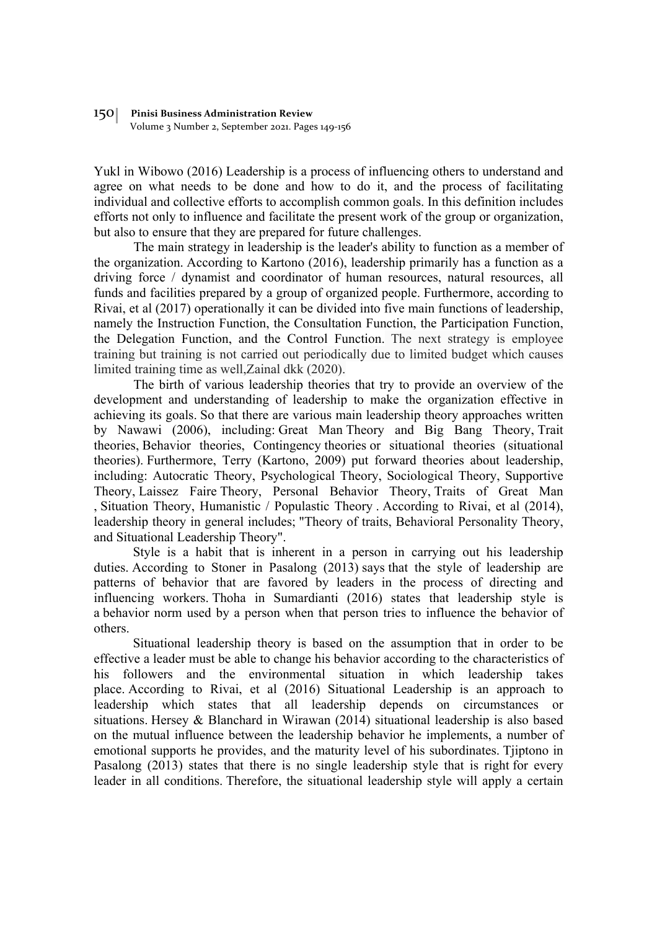#### 150 **Pinisi Business Administration Review**

Volume 3 Number 2, September 2021. Pages 149-156

Yukl in Wibowo (2016) Leadership is a process of influencing others to understand and agree on what needs to be done and how to do it, and the process of facilitating individual and collective efforts to accomplish common goals. In this definition includes efforts not only to influence and facilitate the present work of the group or organization, but also to ensure that they are prepared for future challenges.

The main strategy in leadership is the leader's ability to function as a member of the organization. According to Kartono (2016), leadership primarily has a function as a driving force / dynamist and coordinator of human resources, natural resources, all funds and facilities prepared by a group of organized people. Furthermore, according to Rivai, et al (2017) operationally it can be divided into five main functions of leadership, namely the Instruction Function, the Consultation Function, the Participation Function, the Delegation Function, and the Control Function. The next strategy is employee training but training is not carried out periodically due to limited budget which causes limited training time as well,Zainal dkk (2020).

The birth of various leadership theories that try to provide an overview of the development and understanding of leadership to make the organization effective in achieving its goals. So that there are various main leadership theory approaches written by Nawawi (2006), including: Great Man Theory and Big Bang Theory, Trait theories, Behavior theories, Contingency theories or situational theories (situational theories). Furthermore, Terry (Kartono, 2009) put forward theories about leadership, including: Autocratic Theory, Psychological Theory, Sociological Theory, Supportive Theory, Laissez Faire Theory, Personal Behavior Theory, Traits of Great Man , Situation Theory, Humanistic / Populastic Theory . According to Rivai, et al (2014), leadership theory in general includes; "Theory of traits, Behavioral Personality Theory, and Situational Leadership Theory".

Style is a habit that is inherent in a person in carrying out his leadership duties. According to Stoner in Pasalong (2013) says that the style of leadership are patterns of behavior that are favored by leaders in the process of directing and influencing workers. Thoha in Sumardianti (2016) states that leadership style is a behavior norm used by a person when that person tries to influence the behavior of others.

Situational leadership theory is based on the assumption that in order to be effective a leader must be able to change his behavior according to the characteristics of his followers and the environmental situation in which leadership takes place. According to Rivai, et al (2016) Situational Leadership is an approach to leadership which states that all leadership depends on circumstances or situations. Hersey & Blanchard in Wirawan (2014) situational leadership is also based on the mutual influence between the leadership behavior he implements, a number of emotional supports he provides, and the maturity level of his subordinates. Tjiptono in Pasalong (2013) states that there is no single leadership style that is right for every leader in all conditions. Therefore, the situational leadership style will apply a certain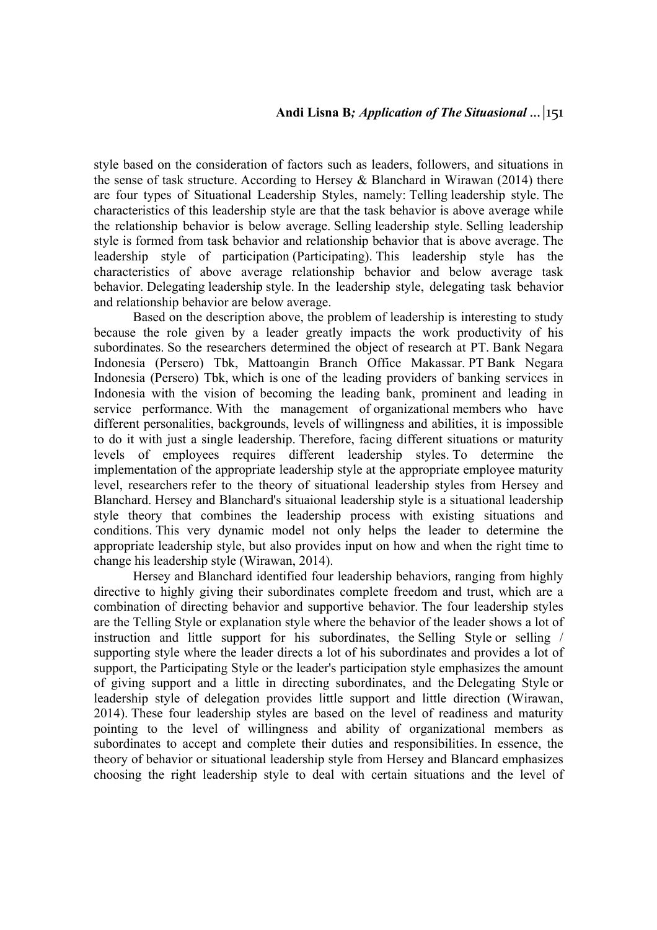style based on the consideration of factors such as leaders, followers, and situations in the sense of task structure. According to Hersey & Blanchard in Wirawan (2014) there are four types of Situational Leadership Styles, namely: Telling leadership style. The characteristics of this leadership style are that the task behavior is above average while the relationship behavior is below average. Selling leadership style. Selling leadership style is formed from task behavior and relationship behavior that is above average. The leadership style of participation (Participating). This leadership style has the characteristics of above average relationship behavior and below average task behavior. Delegating leadership style. In the leadership style, delegating task behavior and relationship behavior are below average.

Based on the description above, the problem of leadership is interesting to study because the role given by a leader greatly impacts the work productivity of his subordinates. So the researchers determined the object of research at PT. Bank Negara Indonesia (Persero) Tbk, Mattoangin Branch Office Makassar. PT Bank Negara Indonesia (Persero) Tbk, which is one of the leading providers of banking services in Indonesia with the vision of becoming the leading bank, prominent and leading in service performance. With the management of organizational members who have different personalities, backgrounds, levels of willingness and abilities, it is impossible to do it with just a single leadership. Therefore, facing different situations or maturity levels of employees requires different leadership styles. To determine the implementation of the appropriate leadership style at the appropriate employee maturity level, researchers refer to the theory of situational leadership styles from Hersey and Blanchard. Hersey and Blanchard's situaional leadership style is a situational leadership style theory that combines the leadership process with existing situations and conditions. This very dynamic model not only helps the leader to determine the appropriate leadership style, but also provides input on how and when the right time to change his leadership style (Wirawan, 2014).

Hersey and Blanchard identified four leadership behaviors, ranging from highly directive to highly giving their subordinates complete freedom and trust, which are a combination of directing behavior and supportive behavior. The four leadership styles are the Telling Style or explanation style where the behavior of the leader shows a lot of instruction and little support for his subordinates, the Selling Style or selling / supporting style where the leader directs a lot of his subordinates and provides a lot of support, the Participating Style or the leader's participation style emphasizes the amount of giving support and a little in directing subordinates, and the Delegating Style or leadership style of delegation provides little support and little direction (Wirawan, 2014). These four leadership styles are based on the level of readiness and maturity pointing to the level of willingness and ability of organizational members as subordinates to accept and complete their duties and responsibilities. In essence, the theory of behavior or situational leadership style from Hersey and Blancard emphasizes choosing the right leadership style to deal with certain situations and the level of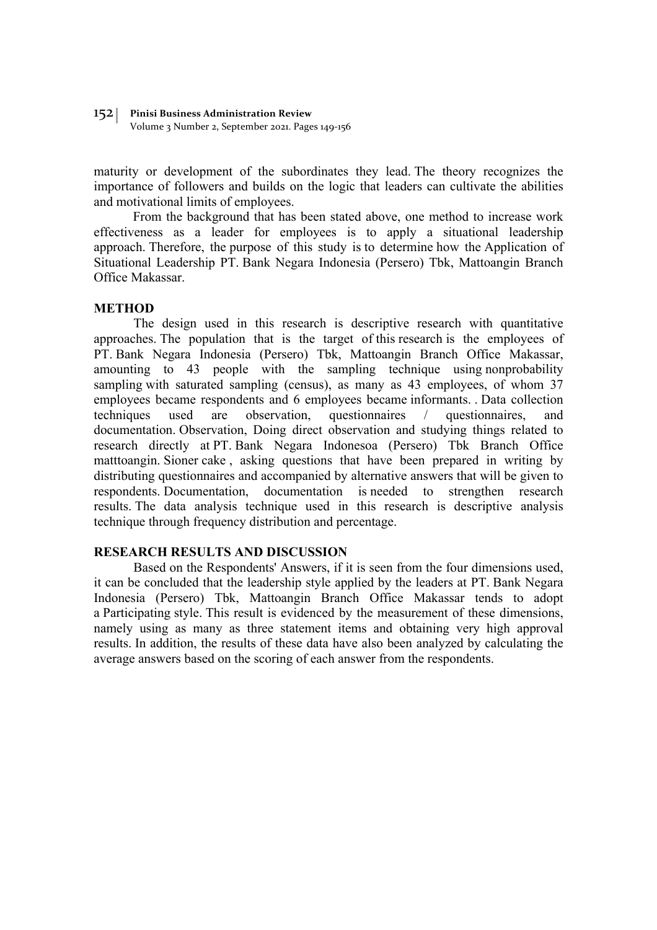#### 152 **Pinisi Business Administration Review**

Volume 3 Number 2, September 2021. Pages 149-156

maturity or development of the subordinates they lead. The theory recognizes the importance of followers and builds on the logic that leaders can cultivate the abilities and motivational limits of employees.

From the background that has been stated above, one method to increase work effectiveness as a leader for employees is to apply a situational leadership approach. Therefore, the purpose of this study is to determine how the Application of Situational Leadership PT. Bank Negara Indonesia (Persero) Tbk, Mattoangin Branch Office Makassar.

### **METHOD**

The design used in this research is descriptive research with quantitative approaches. The population that is the target of this research is the employees of PT. Bank Negara Indonesia (Persero) Tbk, Mattoangin Branch Office Makassar, amounting to 43 people with the sampling technique using nonprobability sampling with saturated sampling (census), as many as 43 employees, of whom 37 employees became respondents and 6 employees became informants. . Data collection techniques used are observation, questionnaires / questionnaires, and documentation. Observation, Doing direct observation and studying things related to research directly at PT. Bank Negara Indonesoa (Persero) Tbk Branch Office matttoangin. Sioner cake , asking questions that have been prepared in writing by distributing questionnaires and accompanied by alternative answers that will be given to respondents. Documentation, documentation is needed to strengthen research results. The data analysis technique used in this research is descriptive analysis technique through frequency distribution and percentage.

### **RESEARCH RESULTS AND DISCUSSION**

Based on the Respondents' Answers, if it is seen from the four dimensions used, it can be concluded that the leadership style applied by the leaders at PT. Bank Negara Indonesia (Persero) Tbk, Mattoangin Branch Office Makassar tends to adopt a Participating style. This result is evidenced by the measurement of these dimensions, namely using as many as three statement items and obtaining very high approval results. In addition, the results of these data have also been analyzed by calculating the average answers based on the scoring of each answer from the respondents.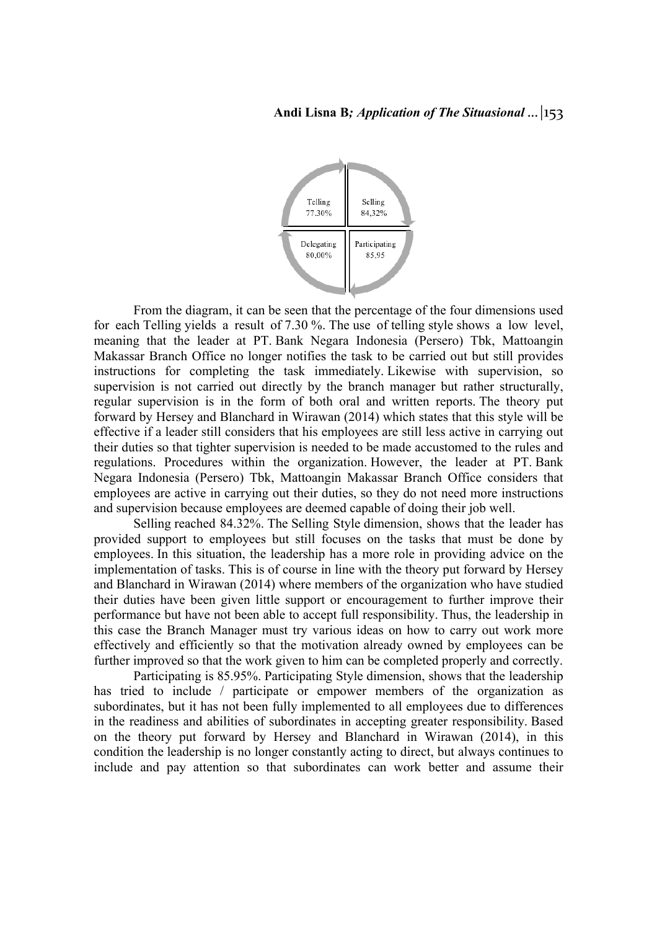## **Andi Lisna B***; Application of The Situasional …|*153



From the diagram, it can be seen that the percentage of the four dimensions used for each Telling yields a result of 7.30 %. The use of telling style shows a low level, meaning that the leader at PT. Bank Negara Indonesia (Persero) Tbk, Mattoangin Makassar Branch Office no longer notifies the task to be carried out but still provides instructions for completing the task immediately. Likewise with supervision, so supervision is not carried out directly by the branch manager but rather structurally, regular supervision is in the form of both oral and written reports. The theory put forward by Hersey and Blanchard in Wirawan (2014) which states that this style will be effective if a leader still considers that his employees are still less active in carrying out their duties so that tighter supervision is needed to be made accustomed to the rules and regulations. Procedures within the organization. However, the leader at PT. Bank Negara Indonesia (Persero) Tbk, Mattoangin Makassar Branch Office considers that employees are active in carrying out their duties, so they do not need more instructions and supervision because employees are deemed capable of doing their job well.

Selling reached 84.32%. The Selling Style dimension, shows that the leader has provided support to employees but still focuses on the tasks that must be done by employees. In this situation, the leadership has a more role in providing advice on the implementation of tasks. This is of course in line with the theory put forward by Hersey and Blanchard in Wirawan (2014) where members of the organization who have studied their duties have been given little support or encouragement to further improve their performance but have not been able to accept full responsibility. Thus, the leadership in this case the Branch Manager must try various ideas on how to carry out work more effectively and efficiently so that the motivation already owned by employees can be further improved so that the work given to him can be completed properly and correctly.

Participating is 85.95%. Participating Style dimension, shows that the leadership has tried to include / participate or empower members of the organization as subordinates, but it has not been fully implemented to all employees due to differences in the readiness and abilities of subordinates in accepting greater responsibility. Based on the theory put forward by Hersey and Blanchard in Wirawan (2014), in this condition the leadership is no longer constantly acting to direct, but always continues to include and pay attention so that subordinates can work better and assume their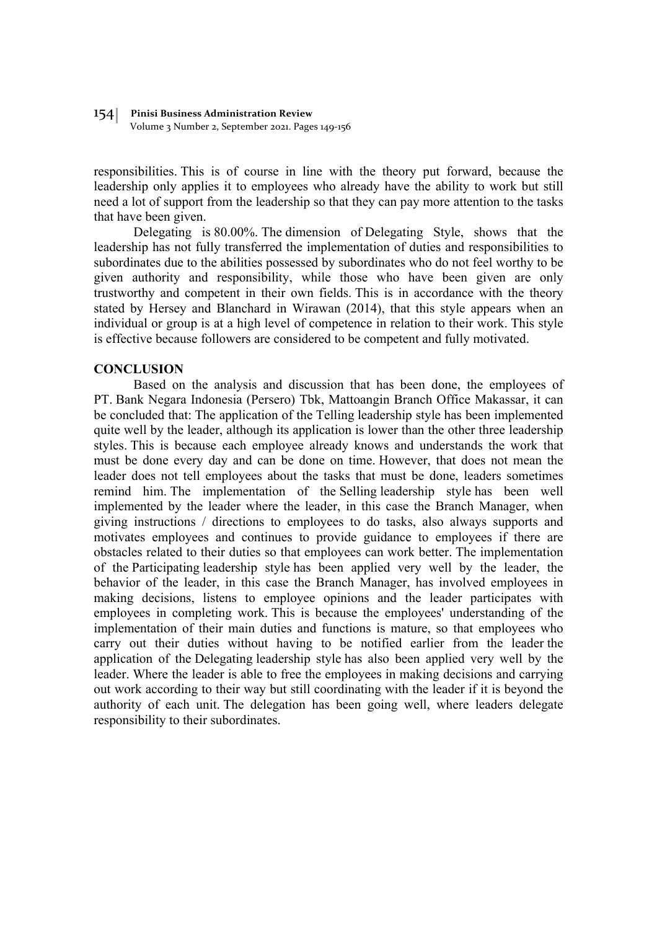#### 154 **Pinisi Business Administration Review**

Volume 3 Number 2, September 2021. Pages 149-156

responsibilities. This is of course in line with the theory put forward, because the leadership only applies it to employees who already have the ability to work but still need a lot of support from the leadership so that they can pay more attention to the tasks that have been given.

Delegating is 80.00%. The dimension of Delegating Style, shows that the leadership has not fully transferred the implementation of duties and responsibilities to subordinates due to the abilities possessed by subordinates who do not feel worthy to be given authority and responsibility, while those who have been given are only trustworthy and competent in their own fields. This is in accordance with the theory stated by Hersey and Blanchard in Wirawan (2014), that this style appears when an individual or group is at a high level of competence in relation to their work. This style is effective because followers are considered to be competent and fully motivated.

### **CONCLUSION**

Based on the analysis and discussion that has been done, the employees of PT. Bank Negara Indonesia (Persero) Tbk, Mattoangin Branch Office Makassar, it can be concluded that: The application of the Telling leadership style has been implemented quite well by the leader, although its application is lower than the other three leadership styles. This is because each employee already knows and understands the work that must be done every day and can be done on time. However, that does not mean the leader does not tell employees about the tasks that must be done, leaders sometimes remind him. The implementation of the Selling leadership style has been well implemented by the leader where the leader, in this case the Branch Manager, when giving instructions / directions to employees to do tasks, also always supports and motivates employees and continues to provide guidance to employees if there are obstacles related to their duties so that employees can work better. The implementation of the Participating leadership style has been applied very well by the leader, the behavior of the leader, in this case the Branch Manager, has involved employees in making decisions, listens to employee opinions and the leader participates with employees in completing work. This is because the employees' understanding of the implementation of their main duties and functions is mature, so that employees who carry out their duties without having to be notified earlier from the leader the application of the Delegating leadership style has also been applied very well by the leader. Where the leader is able to free the employees in making decisions and carrying out work according to their way but still coordinating with the leader if it is beyond the authority of each unit. The delegation has been going well, where leaders delegate responsibility to their subordinates.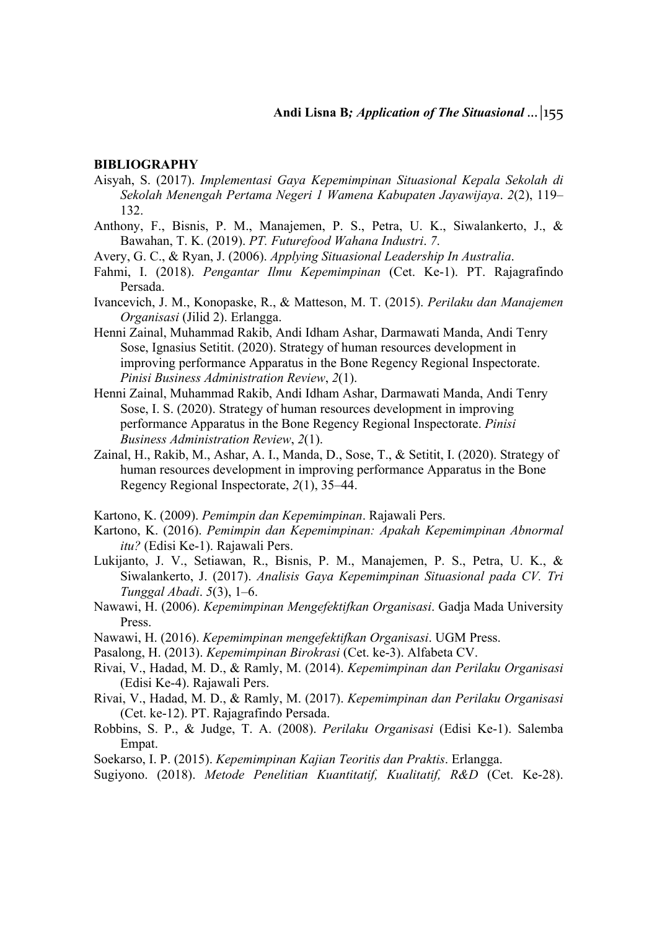### **BIBLIOGRAPHY**

- Aisyah, S. (2017). *Implementasi Gaya Kepemimpinan Situasional Kepala Sekolah di Sekolah Menengah Pertama Negeri 1 Wamena Kabupaten Jayawijaya*. *2*(2), 119– 132.
- Anthony, F., Bisnis, P. M., Manajemen, P. S., Petra, U. K., Siwalankerto, J., & Bawahan, T. K. (2019). *PT. Futurefood Wahana Industri*. *7*.
- Avery, G. C., & Ryan, J. (2006). *Applying Situasional Leadership In Australia*.
- Fahmi, I. (2018). *Pengantar Ilmu Kepemimpinan* (Cet. Ke-1). PT. Rajagrafindo Persada.
- Ivancevich, J. M., Konopaske, R., & Matteson, M. T. (2015). *Perilaku dan Manajemen Organisasi* (Jilid 2). Erlangga.
- Henni Zainal, Muhammad Rakib, Andi Idham Ashar, Darmawati Manda, Andi Tenry Sose, Ignasius Setitit. (2020). Strategy of human resources development in improving performance Apparatus in the Bone Regency Regional Inspectorate. *Pinisi Business Administration Review*, *2*(1).
- Henni Zainal, Muhammad Rakib, Andi Idham Ashar, Darmawati Manda, Andi Tenry Sose, I. S. (2020). Strategy of human resources development in improving performance Apparatus in the Bone Regency Regional Inspectorate. *Pinisi Business Administration Review*, *2*(1).
- Zainal, H., Rakib, M., Ashar, A. I., Manda, D., Sose, T., & Setitit, I. (2020). Strategy of human resources development in improving performance Apparatus in the Bone Regency Regional Inspectorate, *2*(1), 35–44.
- Kartono, K. (2009). *Pemimpin dan Kepemimpinan*. Rajawali Pers.
- Kartono, K. (2016). *Pemimpin dan Kepemimpinan: Apakah Kepemimpinan Abnormal itu?* (Edisi Ke-1). Rajawali Pers.
- Lukijanto, J. V., Setiawan, R., Bisnis, P. M., Manajemen, P. S., Petra, U. K., & Siwalankerto, J. (2017). *Analisis Gaya Kepemimpinan Situasional pada CV. Tri Tunggal Abadi*. *5*(3), 1–6.
- Nawawi, H. (2006). *Kepemimpinan Mengefektifkan Organisasi*. Gadja Mada University Press.
- Nawawi, H. (2016). *Kepemimpinan mengefektifkan Organisasi*. UGM Press.
- Pasalong, H. (2013). *Kepemimpinan Birokrasi* (Cet. ke-3). Alfabeta CV.
- Rivai, V., Hadad, M. D., & Ramly, M. (2014). *Kepemimpinan dan Perilaku Organisasi* (Edisi Ke-4). Rajawali Pers.
- Rivai, V., Hadad, M. D., & Ramly, M. (2017). *Kepemimpinan dan Perilaku Organisasi* (Cet. ke-12). PT. Rajagrafindo Persada.
- Robbins, S. P., & Judge, T. A. (2008). *Perilaku Organisasi* (Edisi Ke-1). Salemba Empat.
- Soekarso, I. P. (2015). *Kepemimpinan Kajian Teoritis dan Praktis*. Erlangga.
- Sugiyono. (2018). *Metode Penelitian Kuantitatif, Kualitatif, R&D* (Cet. Ke-28).